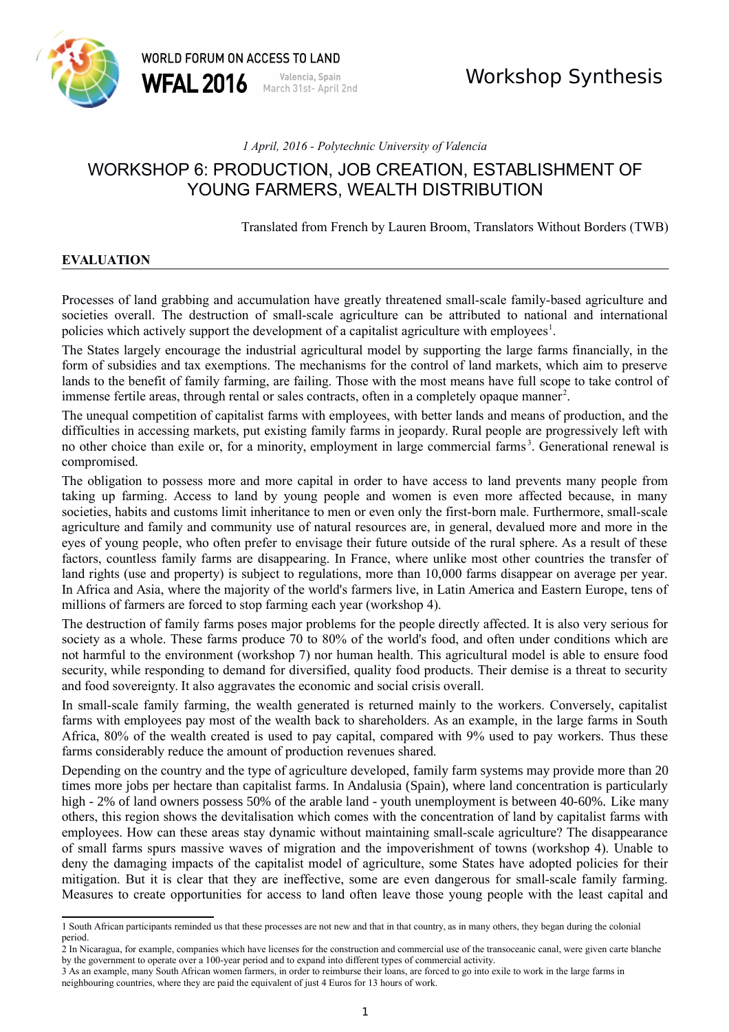

# *1 April, 2016 - Polytechnic University of Valencia*

# WORKSHOP 6: PRODUCTION, JOB CREATION, ESTABLISHMENT OF YOUNG FARMERS, WEALTH DISTRIBUTION

Translated from French by Lauren Broom, Translators Without Borders (TWB)

# **EVALUATION**

Processes of land grabbing and accumulation have greatly threatened small-scale family-based agriculture and societies overall. The destruction of small-scale agriculture can be attributed to national and international policies which actively support the development of a capitalist agriculture with employees<sup>[1](#page-0-0)</sup>.

The States largely encourage the industrial agricultural model by supporting the large farms financially, in the form of subsidies and tax exemptions. The mechanisms for the control of land markets, which aim to preserve lands to the benefit of family farming, are failing. Those with the most means have full scope to take control of immense fertile areas, through rental or sales contracts, often in a completely opaque manner<sup>[2](#page-0-1)</sup>.

The unequal competition of capitalist farms with employees, with better lands and means of production, and the difficulties in accessing markets, put existing family farms in jeopardy. Rural people are progressively left with no other choice than exile or, for a minority, employment in large commercial farms<sup>[3](#page-0-2)</sup>. Generational renewal is compromised.

The obligation to possess more and more capital in order to have access to land prevents many people from taking up farming. Access to land by young people and women is even more affected because, in many societies, habits and customs limit inheritance to men or even only the first-born male. Furthermore, small-scale agriculture and family and community use of natural resources are, in general, devalued more and more in the eyes of young people, who often prefer to envisage their future outside of the rural sphere. As a result of these factors, countless family farms are disappearing. In France, where unlike most other countries the transfer of land rights (use and property) is subject to regulations, more than 10,000 farms disappear on average per year. In Africa and Asia, where the majority of the world's farmers live, in Latin America and Eastern Europe, tens of millions of farmers are forced to stop farming each year (workshop 4).

The destruction of family farms poses major problems for the people directly affected. It is also very serious for society as a whole. These farms produce 70 to 80% of the world's food, and often under conditions which are not harmful to the environment (workshop 7) nor human health. This agricultural model is able to ensure food security, while responding to demand for diversified, quality food products. Their demise is a threat to security and food sovereignty. It also aggravates the economic and social crisis overall.

In small-scale family farming, the wealth generated is returned mainly to the workers. Conversely, capitalist farms with employees pay most of the wealth back to shareholders. As an example, in the large farms in South Africa, 80% of the wealth created is used to pay capital, compared with 9% used to pay workers. Thus these farms considerably reduce the amount of production revenues shared.

Depending on the country and the type of agriculture developed, family farm systems may provide more than 20 times more jobs per hectare than capitalist farms. In Andalusia (Spain), where land concentration is particularly high - 2% of land owners possess 50% of the arable land - youth unemployment is between 40-60%. Like many others, this region shows the devitalisation which comes with the concentration of land by capitalist farms with employees. How can these areas stay dynamic without maintaining small-scale agriculture? The disappearance of small farms spurs massive waves of migration and the impoverishment of towns (workshop 4). Unable to deny the damaging impacts of the capitalist model of agriculture, some States have adopted policies for their mitigation. But it is clear that they are ineffective, some are even dangerous for small-scale family farming. Measures to create opportunities for access to land often leave those young people with the least capital and

<span id="page-0-0"></span><sup>1</sup> South African participants reminded us that these processes are not new and that in that country, as in many others, they began during the colonial period.

<span id="page-0-1"></span><sup>2</sup> In Nicaragua, for example, companies which have licenses for the construction and commercial use of the transoceanic canal, were given carte blanche by the government to operate over a 100-year period and to expand into different types of commercial activity.

<span id="page-0-2"></span><sup>3</sup> As an example, many South African women farmers, in order to reimburse their loans, are forced to go into exile to work in the large farms in neighbouring countries, where they are paid the equivalent of just 4 Euros for 13 hours of work.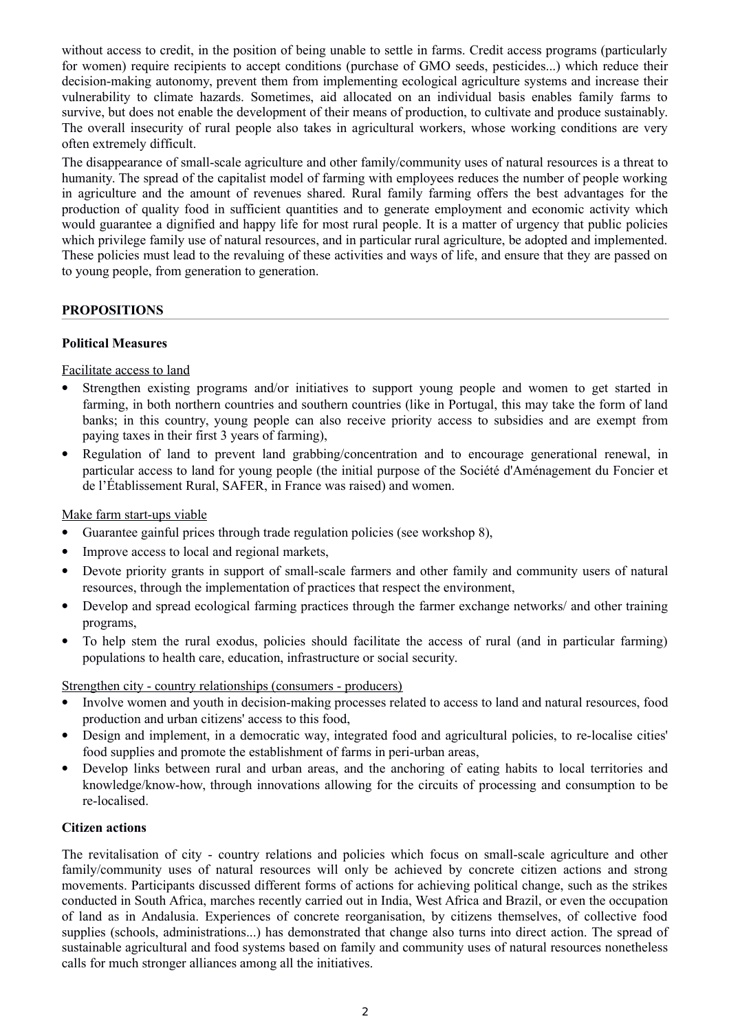without access to credit, in the position of being unable to settle in farms. Credit access programs (particularly for women) require recipients to accept conditions (purchase of GMO seeds, pesticides...) which reduce their decision-making autonomy, prevent them from implementing ecological agriculture systems and increase their vulnerability to climate hazards. Sometimes, aid allocated on an individual basis enables family farms to survive, but does not enable the development of their means of production, to cultivate and produce sustainably. The overall insecurity of rural people also takes in agricultural workers, whose working conditions are very often extremely difficult.

The disappearance of small-scale agriculture and other family/community uses of natural resources is a threat to humanity. The spread of the capitalist model of farming with employees reduces the number of people working in agriculture and the amount of revenues shared. Rural family farming offers the best advantages for the production of quality food in sufficient quantities and to generate employment and economic activity which would guarantee a dignified and happy life for most rural people. It is a matter of urgency that public policies which privilege family use of natural resources, and in particular rural agriculture, be adopted and implemented. These policies must lead to the revaluing of these activities and ways of life, and ensure that they are passed on to young people, from generation to generation.

# **PROPOSITIONS**

# **Political Measures**

Facilitate access to land

- Strengthen existing programs and/or initiatives to support young people and women to get started in farming, in both northern countries and southern countries (like in Portugal, this may take the form of land banks; in this country, young people can also receive priority access to subsidies and are exempt from paying taxes in their first 3 years of farming),
- Regulation of land to prevent land grabbing/concentration and to encourage generational renewal, in particular access to land for young people (the initial purpose of the Société d'Aménagement du Foncier et de l'Établissement Rural, SAFER, in France was raised) and women.

Make farm start-ups viable

- Guarantee gainful prices through trade regulation policies (see workshop 8),
- Improve access to local and regional markets,
- Devote priority grants in support of small-scale farmers and other family and community users of natural resources, through the implementation of practices that respect the environment,
- Develop and spread ecological farming practices through the farmer exchange networks/ and other training programs,
- To help stem the rural exodus, policies should facilitate the access of rural (and in particular farming) populations to health care, education, infrastructure or social security.

Strengthen city - country relationships (consumers - producers)

- Involve women and youth in decision-making processes related to access to land and natural resources, food production and urban citizens' access to this food,
- Design and implement, in a democratic way, integrated food and agricultural policies, to re-localise cities' food supplies and promote the establishment of farms in peri-urban areas,
- Develop links between rural and urban areas, and the anchoring of eating habits to local territories and knowledge/know-how, through innovations allowing for the circuits of processing and consumption to be re-localised.

# **Citizen actions**

The revitalisation of city - country relations and policies which focus on small-scale agriculture and other family/community uses of natural resources will only be achieved by concrete citizen actions and strong movements. Participants discussed different forms of actions for achieving political change, such as the strikes conducted in South Africa, marches recently carried out in India, West Africa and Brazil, or even the occupation of land as in Andalusia. Experiences of concrete reorganisation, by citizens themselves, of collective food supplies (schools, administrations...) has demonstrated that change also turns into direct action. The spread of sustainable agricultural and food systems based on family and community uses of natural resources nonetheless calls for much stronger alliances among all the initiatives.